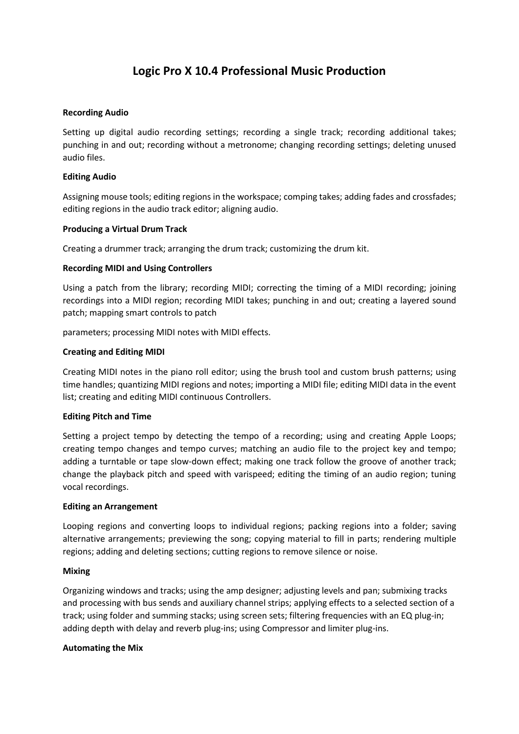# **Logic Pro X 10.4 Professional Music Production**

### **Recording Audio**

Setting up digital audio recording settings; recording a single track; recording additional takes; punching in and out; recording without a metronome; changing recording settings; deleting unused audio files.

## **Editing Audio**

Assigning mouse tools; editing regions in the workspace; comping takes; adding fades and crossfades; editing regions in the audio track editor; aligning audio.

## **Producing a Virtual Drum Track**

Creating a drummer track; arranging the drum track; customizing the drum kit.

## **Recording MIDI and Using Controllers**

Using a patch from the library; recording MIDI; correcting the timing of a MIDI recording; joining recordings into a MIDI region; recording MIDI takes; punching in and out; creating a layered sound patch; mapping smart controls to patch

parameters; processing MIDI notes with MIDI effects.

## **Creating and Editing MIDI**

Creating MIDI notes in the piano roll editor; using the brush tool and custom brush patterns; using time handles; quantizing MIDI regions and notes; importing a MIDI file; editing MIDI data in the event list; creating and editing MIDI continuous Controllers.

#### **Editing Pitch and Time**

Setting a project tempo by detecting the tempo of a recording; using and creating Apple Loops; creating tempo changes and tempo curves; matching an audio file to the project key and tempo; adding a turntable or tape slow-down effect; making one track follow the groove of another track; change the playback pitch and speed with varispeed; editing the timing of an audio region; tuning vocal recordings.

#### **Editing an Arrangement**

Looping regions and converting loops to individual regions; packing regions into a folder; saving alternative arrangements; previewing the song; copying material to fill in parts; rendering multiple regions; adding and deleting sections; cutting regions to remove silence or noise.

#### **Mixing**

Organizing windows and tracks; using the amp designer; adjusting levels and pan; submixing tracks and processing with bus sends and auxiliary channel strips; applying effects to a selected section of a track; using folder and summing stacks; using screen sets; filtering frequencies with an EQ plug-in; adding depth with delay and reverb plug-ins; using Compressor and limiter plug-ins.

#### **Automating the Mix**